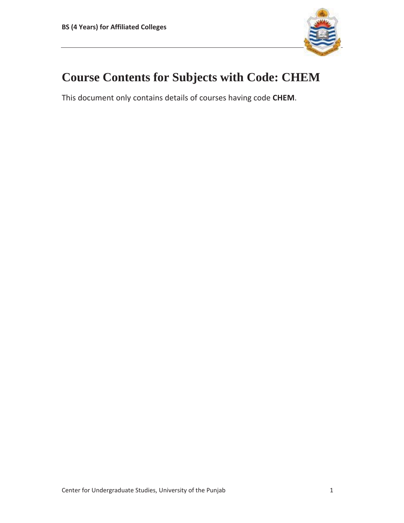

# **Course Contents for Subjects with Code: CHEM**

This document only contains details of courses having code **CHEM**.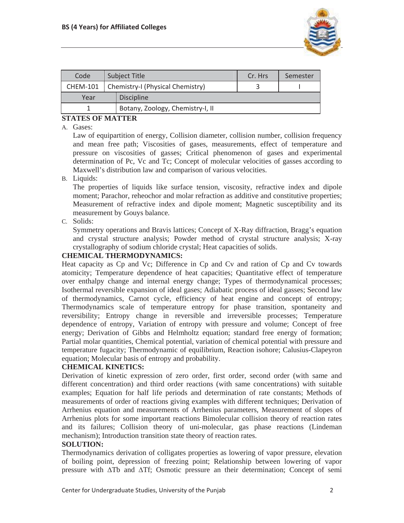

| Code            | Subject Title |                                  | Cr. Hrs | Semester |
|-----------------|---------------|----------------------------------|---------|----------|
| <b>CHEM-101</b> |               | Chemistry-I (Physical Chemistry) |         |          |
| Year            |               | <b>Discipline</b>                |         |          |
|                 |               | Botany, Zoology, Chemistry-I, II |         |          |

# **STATES OF MATTER**

#### A. Gases:

Law of equipartition of energy, Collision diameter, collision number, collision frequency and mean free path; Viscosities of gases, measurements, effect of temperature and pressure on viscosities of gasses; Critical phenomenon of gases and experimental determination of Pc, Vc and Tc; Concept of molecular velocities of gasses according to Maxwell's distribution law and comparison of various velocities.

B. Liquids:

The properties of liquids like surface tension, viscosity, refractive index and dipole moment; Parachor, reheochor and molar refraction as additive and constitutive properties; Measurement of refractive index and dipole moment; Magnetic susceptibility and its measurement by Gouys balance.

C. Solids:

Symmetry operations and Bravis lattices; Concept of X-Ray diffraction, Bragg's equation and crystal structure analysis; Powder method of crystal structure analysis; X-ray crystallography of sodium chloride crystal; Heat capacities of solids.

## **CHEMICAL THERMODYNAMICS:**

Heat capacity as Cp and Vc; Difference in Cp and Cv and ration of Cp and Cv towards atomicity; Temperature dependence of heat capacities; Quantitative effect of temperature over enthalpy change and internal energy change; Types of thermodynamical processes; Isothermal reversible expansion of ideal gases; Adiabatic process of ideal gasses; Second law of thermodynamics, Carnot cycle, efficiency of heat engine and concept of entropy; Thermodynamics scale of temperature entropy for phase transition, spontaneity and reversibility; Entropy change in reversible and irreversible processes; Temperature dependence of entropy, Variation of entropy with pressure and volume; Concept of free energy; Derivation of Gibbs and Helmholtz equation; standard free energy of formation; Partial molar quantities, Chemical potential, variation of chemical potential with pressure and temperature fugacity; Thermodynamic of equilibrium, Reaction isohore; Calusius-Clapeyron equation; Molecular basis of entropy and probability.

## **CHEMICAL KINETICS:**

Derivation of kinetic expression of zero order, first order, second order (with same and different concentration) and third order reactions (with same concentrations) with suitable examples; Equation for half life periods and determination of rate constants; Methods of measurements of order of reactions giving examples with different techniques; Derivation of Arrhenius equation and measurements of Arrhenius parameters, Measurement of slopes of Arrhenius plots for some important reactions Bimolecular collision theory of reaction rates and its failures; Collision theory of uni-molecular, gas phase reactions (Lindeman mechanism); Introduction transition state theory of reaction rates.

#### **SOLUTION:**

Thermodynamics derivation of colligates properties as lowering of vapor pressure, elevation of boiling point, depression of freezing point; Relationship between lowering of vapor pressure with  $\Delta Tb$  and  $\Delta Tf$ ; Osmotic pressure an their determination; Concept of semi